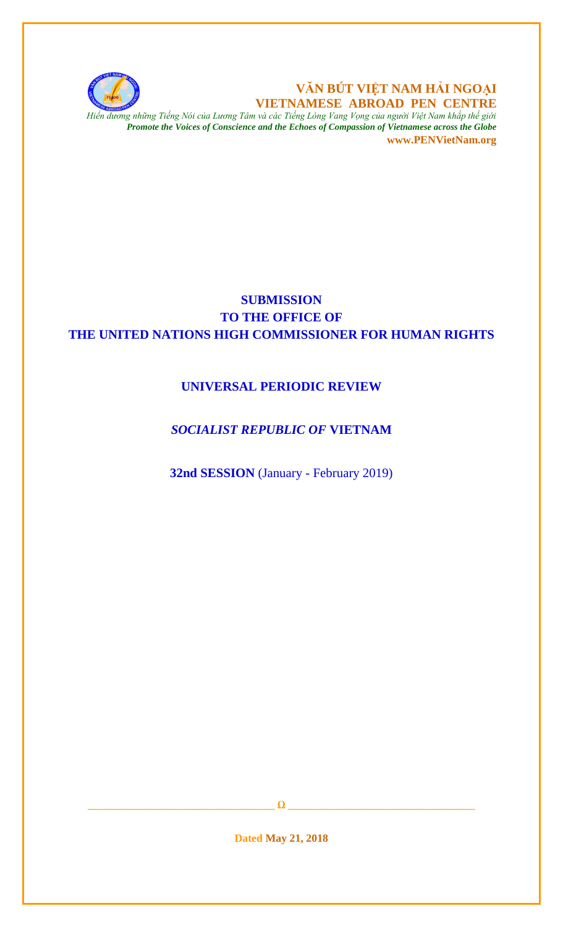

**VĂN BÚT VIỆT NAM HẢI NGOẠI VIETNAMESE ABROAD PEN CENTRE**

*Hiển dương những Tiếng Nói của Lương Tâm và các Tiếng Lòng Vang Vọng của người Việt Nam khắp thế giới Promote the Voices of Conscience and the Echoes of Compassion of Vietnamese across the Globe* **www.PENVietNam.org**

# **SUBMISSION TO THE OFFICE OF THE UNITED NATIONS HIGH COMMISSIONER FOR HUMAN RIGHTS**

## **UNIVERSAL PERIODIC REVIEW**

### *SOCIALIST REPUBLIC OF* **VIETNAM**

**32nd SESSION** (January - February 2019)

**\_\_\_\_\_\_\_\_\_\_\_\_\_\_\_\_\_\_\_\_\_\_\_\_\_\_\_\_\_\_\_\_\_\_\_\_\_ Ω \_\_\_\_\_\_\_\_\_\_\_\_\_\_\_\_\_\_\_\_\_\_\_\_\_\_\_\_\_\_\_\_\_\_\_\_\_**

**Dated May 21, 2018**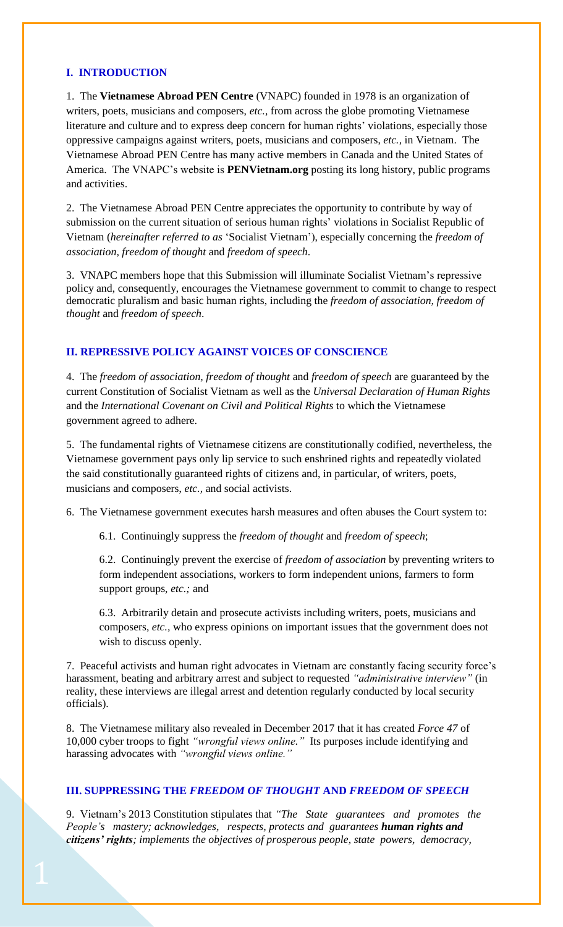#### **I. INTRODUCTION**

1. The **Vietnamese Abroad PEN Centre** (VNAPC) founded in 1978 is an organization of writers, poets, musicians and composers, *etc.,* from across the globe promoting Vietnamese literature and culture and to express deep concern for human rights' violations, especially those oppressive campaigns against writers, poets, musicians and composers, *etc.,* in Vietnam. The Vietnamese Abroad PEN Centre has many active members in Canada and the United States of America. The VNAPC's website is **PENVietnam.org** posting its long history, public programs and activities.

2. The Vietnamese Abroad PEN Centre appreciates the opportunity to contribute by way of submission on the current situation of serious human rights' violations in Socialist Republic of Vietnam (*hereinafter referred to as* 'Socialist Vietnam'), especially concerning the *freedom of association, freedom of thought* and *freedom of speech*.

3. VNAPC members hope that this Submission will illuminate Socialist Vietnam's repressive policy and, consequently, encourages the Vietnamese government to commit to change to respect democratic pluralism and basic human rights, including the *freedom of association, freedom of thought* and *freedom of speech*.

#### **II. REPRESSIVE POLICY AGAINST VOICES OF CONSCIENCE**

4. The *freedom of association, freedom of thought* and *freedom of speech* are guaranteed by the current Constitution of Socialist Vietnam as well as the *Universal Declaration of Human Rights* and the *International Covenant on Civil and Political Rights* to which the Vietnamese government agreed to adhere.

5. The fundamental rights of Vietnamese citizens are constitutionally codified, nevertheless, the Vietnamese government pays only lip service to such enshrined rights and repeatedly violated the said constitutionally guaranteed rights of citizens and, in particular, of writers, poets, musicians and composers, *etc.,* and social activists.

6. The Vietnamese government executes harsh measures and often abuses the Court system to:

6.1. Continuingly suppress the *freedom of thought* and *freedom of speech*;

6.2. Continuingly prevent the exercise of *freedom of association* by preventing writers to form independent associations, workers to form independent unions, farmers to form support groups, *etc.;* and

6.3. Arbitrarily detain and prosecute activists including writers, poets, musicians and composers, *etc.,* who express opinions on important issues that the government does not wish to discuss openly.

7. Peaceful activists and human right advocates in Vietnam are constantly facing security force's harassment, beating and arbitrary arrest and subject to requested *"administrative interview"* (in reality, these interviews are illegal arrest and detention regularly conducted by local security officials).

8. The Vietnamese military also revealed in December 2017 that it has created *Force 47* of 10,000 cyber troops to fight *"wrongful views online."* Its purposes include identifying and harassing advocates with *"wrongful views online."*

#### **III. SUPPRESSING THE** *FREEDOM OF THOUGHT* **AND** *FREEDOM OF SPEECH*

9. Vietnam's 2013 Constitution stipulates that *"The State guarantees and promotes the People's mastery; acknowledges, respects, protects and guarantees human rights and citizens' rights; implements the objectives of prosperous people, state powers, democracy,*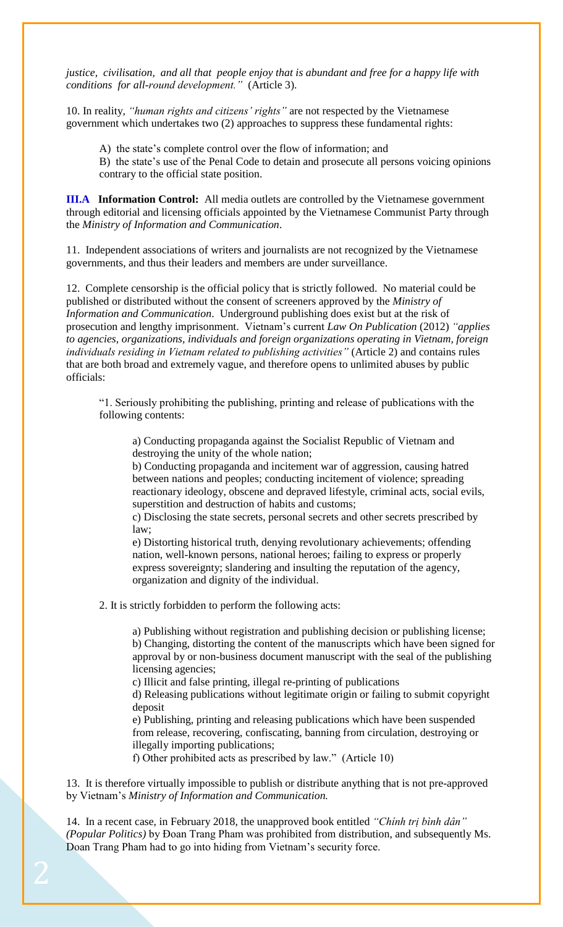*justice, civilisation, and all that people enjoy that is abundant and free for a happy life with conditions for all-round development."* (Article 3).

10. In reality, *"human rights and citizens' rights"* are not respected by the Vietnamese government which undertakes two (2) approaches to suppress these fundamental rights:

A) the state's complete control over the flow of information; and

B) the state's use of the Penal Code to detain and prosecute all persons voicing opinions contrary to the official state position.

**III.A Information Control:** All media outlets are controlled by the Vietnamese government through editorial and licensing officials appointed by the Vietnamese Communist Party through the *Ministry of Information and Communication*.

11. Independent associations of writers and journalists are not recognized by the Vietnamese governments, and thus their leaders and members are under surveillance.

12. Complete censorship is the official policy that is strictly followed. No material could be published or distributed without the consent of screeners approved by the *Ministry of Information and Communication*. Underground publishing does exist but at the risk of prosecution and lengthy imprisonment. Vietnam's current *Law On Publication* (2012) *"applies to agencies, organizations, individuals and foreign organizations operating in Vietnam, foreign individuals residing in Vietnam related to publishing activities"* (Article 2) and contains rules that are both broad and extremely vague, and therefore opens to unlimited abuses by public officials:

"1. Seriously prohibiting the publishing, printing and release of publications with the following contents:

a) Conducting propaganda against the Socialist Republic of Vietnam and destroying the unity of the whole nation;

b) Conducting propaganda and incitement war of aggression, causing hatred between nations and peoples; conducting incitement of violence; spreading reactionary ideology, obscene and depraved lifestyle, criminal acts, social evils, superstition and destruction of habits and customs;

c) Disclosing the state secrets, personal secrets and other secrets prescribed by law;

e) Distorting historical truth, denying revolutionary achievements; offending nation, well-known persons, national heroes; failing to express or properly express sovereignty; slandering and insulting the reputation of the agency, organization and dignity of the individual.

2. It is strictly forbidden to perform the following acts:

a) Publishing without registration and publishing decision or publishing license; b) Changing, distorting the content of the manuscripts which have been signed for approval by or non-business document manuscript with the seal of the publishing licensing agencies;

c) Illicit and false printing, illegal re-printing of publications

d) Releasing publications without legitimate origin or failing to submit copyright deposit

e) Publishing, printing and releasing publications which have been suspended from release, recovering, confiscating, banning from circulation, destroying or illegally importing publications;

f) Other prohibited acts as prescribed by law." (Article 10)

13. It is therefore virtually impossible to publish or distribute anything that is not pre-approved by Vietnam's *Ministry of Information and Communication.*

14. In a recent case, in February 2018, the unapproved book entitled *"Chính trị bình dân" (Popular Politics)* by Đoan Trang Pham was prohibited from distribution, and subsequently Ms. Doan Trang Pham had to go into hiding from Vietnam's security force.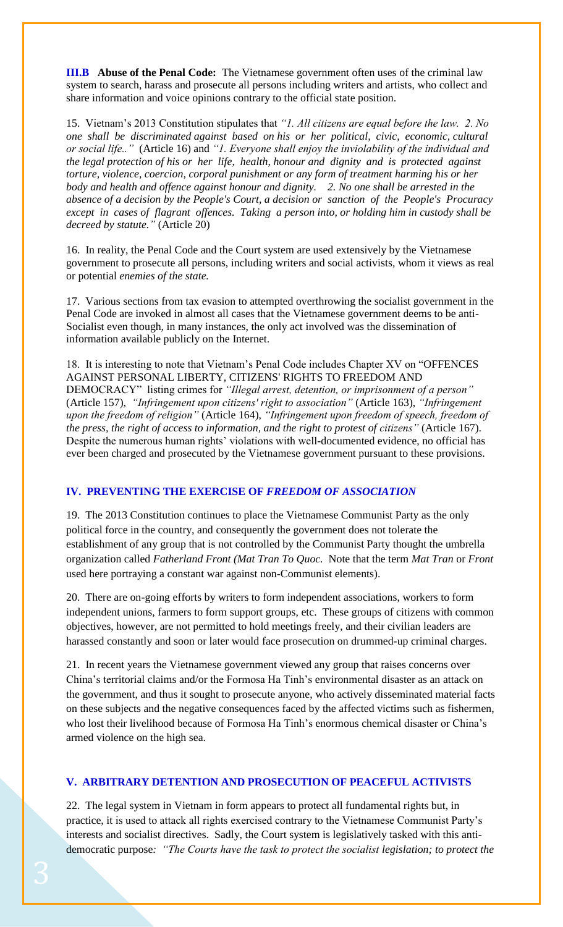**III.B Abuse of the Penal Code:** The Vietnamese government often uses of the criminal law system to search, harass and prosecute all persons including writers and artists, who collect and share information and voice opinions contrary to the official state position.

15. Vietnam's 2013 Constitution stipulates that *"1. All citizens are equal before the law. 2. No one shall be discriminated against based on his or her political, civic, economic, cultural or social life.."* (Article 16) and *"1. Everyone shall enjoy the inviolability of the individual and the legal protection of his or her life, health, honour and dignity and is protected against torture, violence, coercion, corporal punishment or any form of treatment harming his or her body and health and offence against honour and dignity. 2. No one shall be arrested in the absence of a decision by the People's Court, a decision or sanction of the People's Procuracy except in cases of flagrant offences. Taking a person into, or holding him in custody shall be decreed by statute."* (Article 20)

16. In reality, the Penal Code and the Court system are used extensively by the Vietnamese government to prosecute all persons, including writers and social activists, whom it views as real or potential *enemies of the state.*

17. Various sections from tax evasion to attempted overthrowing the socialist government in the Penal Code are invoked in almost all cases that the Vietnamese government deems to be anti-Socialist even though, in many instances, the only act involved was the dissemination of information available publicly on the Internet.

18. It is interesting to note that Vietnam's Penal Code includes Chapter XV on "OFFENCES AGAINST PERSONAL LIBERTY, CITIZENS' RIGHTS TO FREEDOM AND DEMOCRACY" listing crimes for *"Illegal arrest, detention, or imprisonment of a person"* (Article 157), *"Infringement upon citizens' right to association"* (Article 163), *"Infringement upon the freedom of religion"* (Article 164), *"Infringement upon freedom of speech, freedom of the press, the right of access to information, and the right to protest of citizens"* (Article 167). Despite the numerous human rights' violations with well-documented evidence, no official has ever been charged and prosecuted by the Vietnamese government pursuant to these provisions.

#### **IV. PREVENTING THE EXERCISE OF** *FREEDOM OF ASSOCIATION*

19. The 2013 Constitution continues to place the Vietnamese Communist Party as the only political force in the country, and consequently the government does not tolerate the establishment of any group that is not controlled by the Communist Party thought the umbrella organization called *Fatherland Front (Mat Tran To Quoc.* Note that the term *Mat Tran* or *Front*  used here portraying a constant war against non-Communist elements).

20. There are on-going efforts by writers to form independent associations, workers to form independent unions, farmers to form support groups, etc. These groups of citizens with common objectives, however, are not permitted to hold meetings freely, and their civilian leaders are harassed constantly and soon or later would face prosecution on drummed-up criminal charges.

21. In recent years the Vietnamese government viewed any group that raises concerns over China's territorial claims and/or the Formosa Ha Tinh's environmental disaster as an attack on the government, and thus it sought to prosecute anyone, who actively disseminated material facts on these subjects and the negative consequences faced by the affected victims such as fishermen, who lost their livelihood because of Formosa Ha Tinh's enormous chemical disaster or China's armed violence on the high sea.

#### **V. ARBITRARY DETENTION AND PROSECUTION OF PEACEFUL ACTIVISTS**

22. The legal system in Vietnam in form appears to protect all fundamental rights but, in practice, it is used to attack all rights exercised contrary to the Vietnamese Communist Party's interests and socialist directives. Sadly, the Court system is legislatively tasked with this antidemocratic purpose*: "The Courts have the task to protect the socialist legislation; to protect the*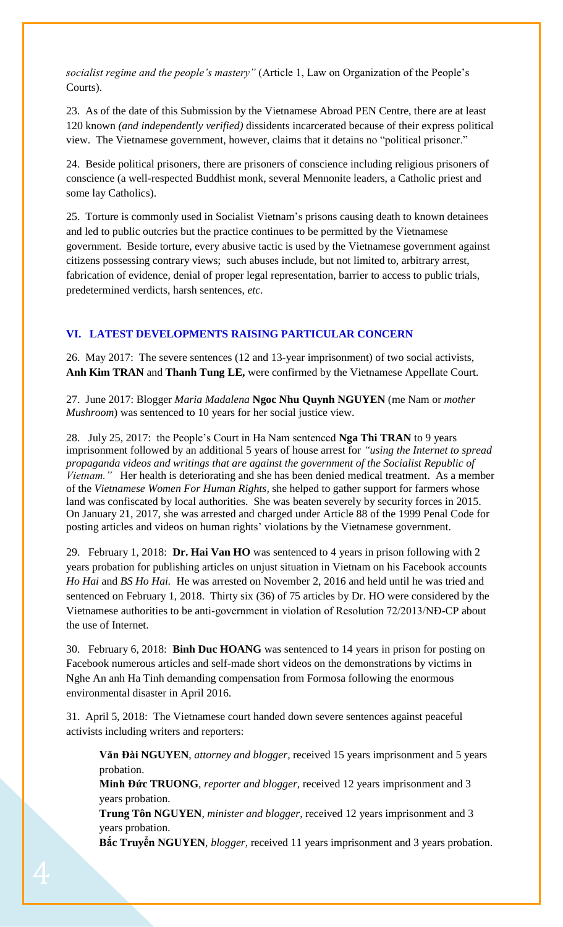*socialist regime and the people's mastery"* (Article 1, Law on Organization of the People's Courts).

23. As of the date of this Submission by the Vietnamese Abroad PEN Centre, there are at least 120 known *(and independently verified)* dissidents incarcerated because of their express political view. The Vietnamese government, however, claims that it detains no "political prisoner."

24. Beside political prisoners, there are prisoners of conscience including religious prisoners of conscience (a well-respected Buddhist monk, several Mennonite leaders, a Catholic priest and some lay Catholics).

25. Torture is commonly used in Socialist Vietnam's prisons causing death to known detainees and led to public outcries but the practice continues to be permitted by the Vietnamese government. Beside torture, every abusive tactic is used by the Vietnamese government against citizens possessing contrary views; such abuses include, but not limited to, arbitrary arrest, fabrication of evidence, denial of proper legal representation, barrier to access to public trials, predetermined verdicts, harsh sentences, *etc.*

### **VI. LATEST DEVELOPMENTS RAISING PARTICULAR CONCERN**

26. May 2017: The severe sentences (12 and 13-year imprisonment) of two social activists, **Anh Kim TRAN** and **Thanh Tung LE,** were confirmed by the Vietnamese Appellate Court.

27. June 2017: Blogger *Maria Madalena* **Ngoc Nhu Quynh NGUYEN** (me Nam or *mother Mushroom*) was sentenced to 10 years for her social justice view.

28. July 25, 2017:the People's Court in Ha Nam sentenced **Nga Thi TRAN** to 9 years imprisonment followed by an additional 5 years of house arrest for *"using the Internet to spread propaganda videos and writings that are against the government of the Socialist Republic of Vietnam."* Her health is deteriorating and she has been denied medical treatment. As a member of the *Vietnamese Women For Human Rights,* she helped to gather support for farmers whose land was confiscated by local authorities. She was beaten severely by security forces in 2015. On January 21, 2017, she was arrested and charged under Article 88 of the 1999 Penal Code for posting articles and videos on human rights' violations by the Vietnamese government.

29. February 1, 2018: **Dr. Hai Van HO** was sentenced to 4 years in prison following with 2 years probation for publishing articles on unjust situation in Vietnam on his Facebook accounts *Ho Hai* and *BS Ho Hai.* He was arrested on November 2, 2016 and held until he was tried and sentenced on February 1, 2018. Thirty six (36) of 75 articles by Dr. HO were considered by the Vietnamese authorities to be anti-government in violation of Resolution 72/2013/NĐ-CP about the use of Internet.

30. February 6, 2018: **Binh Duc HOANG** was sentenced to 14 years in prison for posting on Facebook numerous articles and self-made short videos on the demonstrations by victims in Nghe An anh Ha Tinh demanding compensation from Formosa following the enormous environmental disaster in April 2016.

31. April 5, 2018: The Vietnamese court handed down severe sentences against peaceful activists including writers and reporters:

**Văn Đài NGUYEN**, *attorney and blogger,* received 15 years imprisonment and 5 years probation.

**Minh Đức TRUONG**, *reporter and blogger,* received 12 years imprisonment and 3 years probation.

**Trung Tôn NGUYEN**, *minister and blogger,* received 12 years imprisonment and 3 years probation.

**Bắc Truyển NGUYEN**, *blogger,* received 11 years imprisonment and 3 years probation.